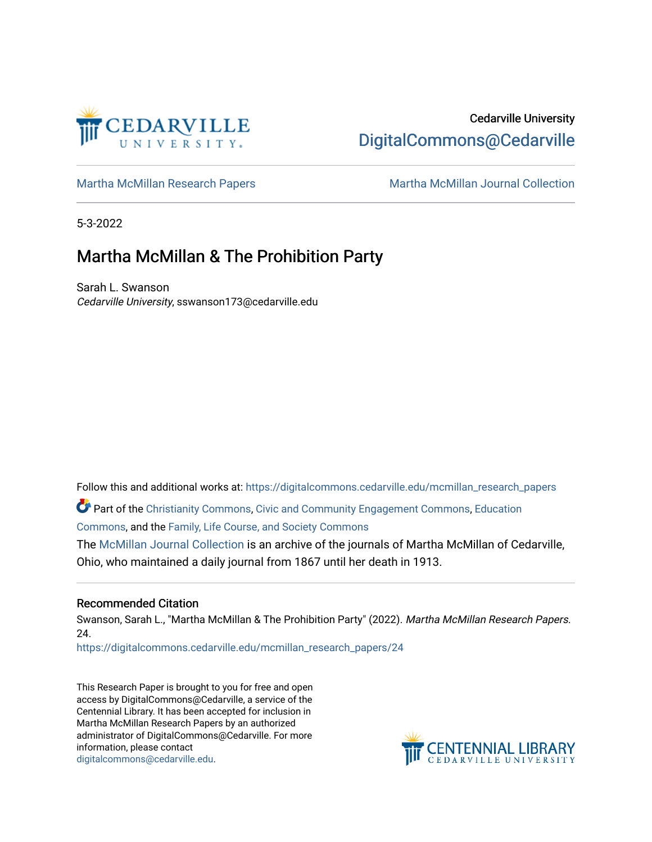

# Cedarville University [DigitalCommons@Cedarville](https://digitalcommons.cedarville.edu/)

[Martha McMillan Research Papers](https://digitalcommons.cedarville.edu/mcmillan_research_papers) Martha McMillan Journal Collection

5-3-2022

## Martha McMillan & The Prohibition Party

Sarah L. Swanson Cedarville University, sswanson173@cedarville.edu

Follow this and additional works at: [https://digitalcommons.cedarville.edu/mcmillan\\_research\\_papers](https://digitalcommons.cedarville.edu/mcmillan_research_papers?utm_source=digitalcommons.cedarville.edu%2Fmcmillan_research_papers%2F24&utm_medium=PDF&utm_campaign=PDFCoverPages) 

Part of the [Christianity Commons,](http://network.bepress.com/hgg/discipline/1181?utm_source=digitalcommons.cedarville.edu%2Fmcmillan_research_papers%2F24&utm_medium=PDF&utm_campaign=PDFCoverPages) [Civic and Community Engagement Commons,](http://network.bepress.com/hgg/discipline/1028?utm_source=digitalcommons.cedarville.edu%2Fmcmillan_research_papers%2F24&utm_medium=PDF&utm_campaign=PDFCoverPages) [Education](http://network.bepress.com/hgg/discipline/784?utm_source=digitalcommons.cedarville.edu%2Fmcmillan_research_papers%2F24&utm_medium=PDF&utm_campaign=PDFCoverPages) [Commons](http://network.bepress.com/hgg/discipline/784?utm_source=digitalcommons.cedarville.edu%2Fmcmillan_research_papers%2F24&utm_medium=PDF&utm_campaign=PDFCoverPages), and the [Family, Life Course, and Society Commons](http://network.bepress.com/hgg/discipline/419?utm_source=digitalcommons.cedarville.edu%2Fmcmillan_research_papers%2F24&utm_medium=PDF&utm_campaign=PDFCoverPages)

The [McMillan Journal Collection](http://digitalcommons.cedarville.edu/mcmillan_journal_collection/) is an archive of the journals of Martha McMillan of Cedarville, Ohio, who maintained a daily journal from 1867 until her death in 1913.

### Recommended Citation

Swanson, Sarah L., "Martha McMillan & The Prohibition Party" (2022). Martha McMillan Research Papers. 24.

[https://digitalcommons.cedarville.edu/mcmillan\\_research\\_papers/24](https://digitalcommons.cedarville.edu/mcmillan_research_papers/24?utm_source=digitalcommons.cedarville.edu%2Fmcmillan_research_papers%2F24&utm_medium=PDF&utm_campaign=PDFCoverPages)

This Research Paper is brought to you for free and open access by DigitalCommons@Cedarville, a service of the Centennial Library. It has been accepted for inclusion in Martha McMillan Research Papers by an authorized administrator of DigitalCommons@Cedarville. For more information, please contact [digitalcommons@cedarville.edu](mailto:digitalcommons@cedarville.edu).

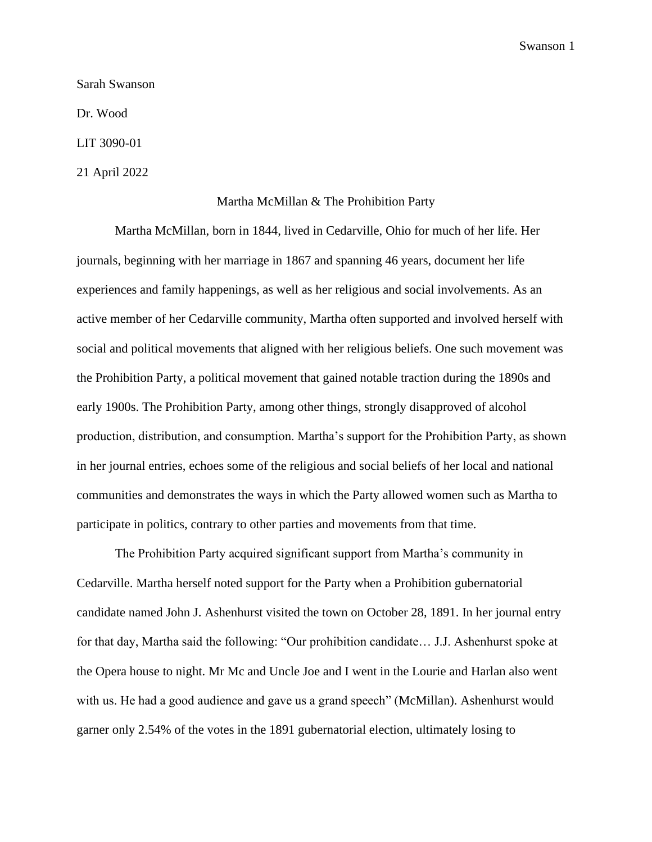#### Sarah Swanson

Dr. Wood

LIT 3090-01

21 April 2022

#### Martha McMillan & The Prohibition Party

Martha McMillan, born in 1844, lived in Cedarville, Ohio for much of her life. Her journals, beginning with her marriage in 1867 and spanning 46 years, document her life experiences and family happenings, as well as her religious and social involvements. As an active member of her Cedarville community, Martha often supported and involved herself with social and political movements that aligned with her religious beliefs. One such movement was the Prohibition Party, a political movement that gained notable traction during the 1890s and early 1900s. The Prohibition Party, among other things, strongly disapproved of alcohol production, distribution, and consumption. Martha's support for the Prohibition Party, as shown in her journal entries, echoes some of the religious and social beliefs of her local and national communities and demonstrates the ways in which the Party allowed women such as Martha to participate in politics, contrary to other parties and movements from that time.

The Prohibition Party acquired significant support from Martha's community in Cedarville. Martha herself noted support for the Party when a Prohibition gubernatorial candidate named John J. Ashenhurst visited the town on October 28, 1891. In her journal entry for that day, Martha said the following: "Our prohibition candidate… J.J. Ashenhurst spoke at the Opera house to night. Mr Mc and Uncle Joe and I went in the Lourie and Harlan also went with us. He had a good audience and gave us a grand speech" (McMillan). Ashenhurst would garner only 2.54% of the votes in the 1891 gubernatorial election, ultimately losing to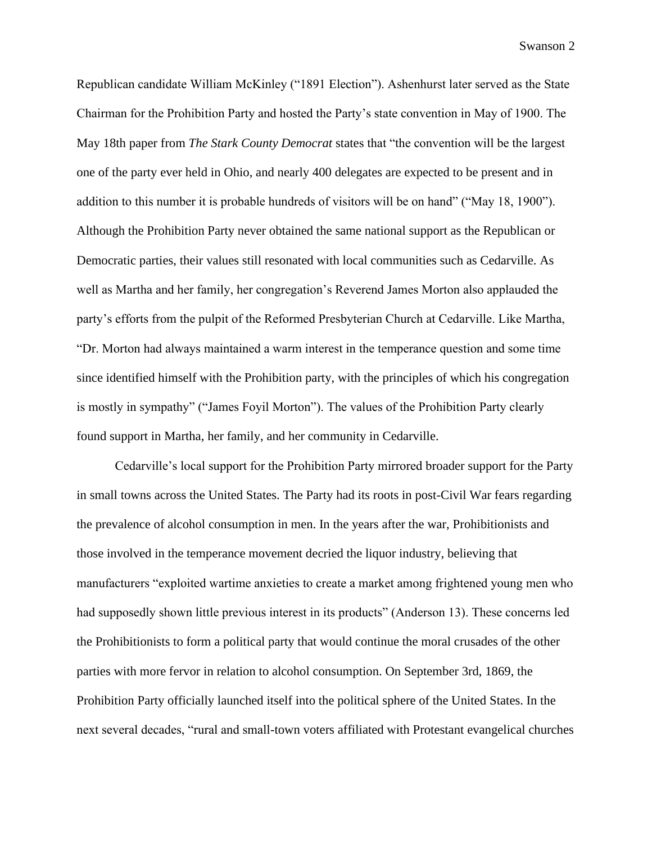Republican candidate William McKinley ("1891 Election"). Ashenhurst later served as the State Chairman for the Prohibition Party and hosted the Party's state convention in May of 1900. The May 18th paper from *The Stark County Democrat* states that "the convention will be the largest one of the party ever held in Ohio, and nearly 400 delegates are expected to be present and in addition to this number it is probable hundreds of visitors will be on hand" ("May 18, 1900"). Although the Prohibition Party never obtained the same national support as the Republican or Democratic parties, their values still resonated with local communities such as Cedarville. As well as Martha and her family, her congregation's Reverend James Morton also applauded the party's efforts from the pulpit of the Reformed Presbyterian Church at Cedarville. Like Martha, "Dr. Morton had always maintained a warm interest in the temperance question and some time since identified himself with the Prohibition party, with the principles of which his congregation is mostly in sympathy" ("James Foyil Morton"). The values of the Prohibition Party clearly found support in Martha, her family, and her community in Cedarville.

Cedarville's local support for the Prohibition Party mirrored broader support for the Party in small towns across the United States. The Party had its roots in post-Civil War fears regarding the prevalence of alcohol consumption in men. In the years after the war, Prohibitionists and those involved in the temperance movement decried the liquor industry, believing that manufacturers "exploited wartime anxieties to create a market among frightened young men who had supposedly shown little previous interest in its products" (Anderson 13). These concerns led the Prohibitionists to form a political party that would continue the moral crusades of the other parties with more fervor in relation to alcohol consumption. On September 3rd, 1869, the Prohibition Party officially launched itself into the political sphere of the United States. In the next several decades, "rural and small-town voters affiliated with Protestant evangelical churches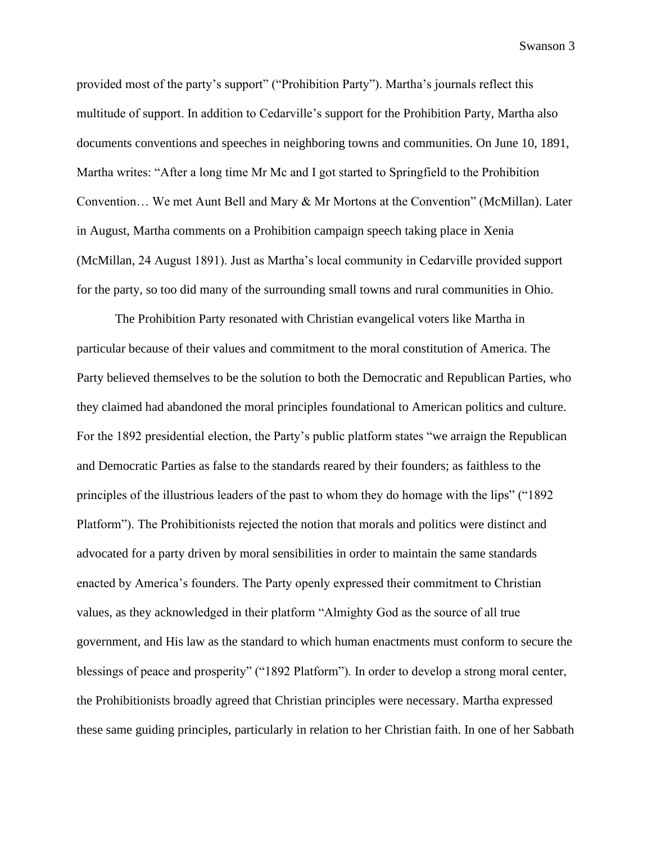provided most of the party's support" ("Prohibition Party"). Martha's journals reflect this multitude of support. In addition to Cedarville's support for the Prohibition Party, Martha also documents conventions and speeches in neighboring towns and communities. On June 10, 1891, Martha writes: "After a long time Mr Mc and I got started to Springfield to the Prohibition Convention… We met Aunt Bell and Mary & Mr Mortons at the Convention" (McMillan). Later in August, Martha comments on a Prohibition campaign speech taking place in Xenia (McMillan, 24 August 1891). Just as Martha's local community in Cedarville provided support for the party, so too did many of the surrounding small towns and rural communities in Ohio.

The Prohibition Party resonated with Christian evangelical voters like Martha in particular because of their values and commitment to the moral constitution of America. The Party believed themselves to be the solution to both the Democratic and Republican Parties, who they claimed had abandoned the moral principles foundational to American politics and culture. For the 1892 presidential election, the Party's public platform states "we arraign the Republican and Democratic Parties as false to the standards reared by their founders; as faithless to the principles of the illustrious leaders of the past to whom they do homage with the lips" ("1892 Platform"). The Prohibitionists rejected the notion that morals and politics were distinct and advocated for a party driven by moral sensibilities in order to maintain the same standards enacted by America's founders. The Party openly expressed their commitment to Christian values, as they acknowledged in their platform "Almighty God as the source of all true government, and His law as the standard to which human enactments must conform to secure the blessings of peace and prosperity" ("1892 Platform"). In order to develop a strong moral center, the Prohibitionists broadly agreed that Christian principles were necessary. Martha expressed these same guiding principles, particularly in relation to her Christian faith. In one of her Sabbath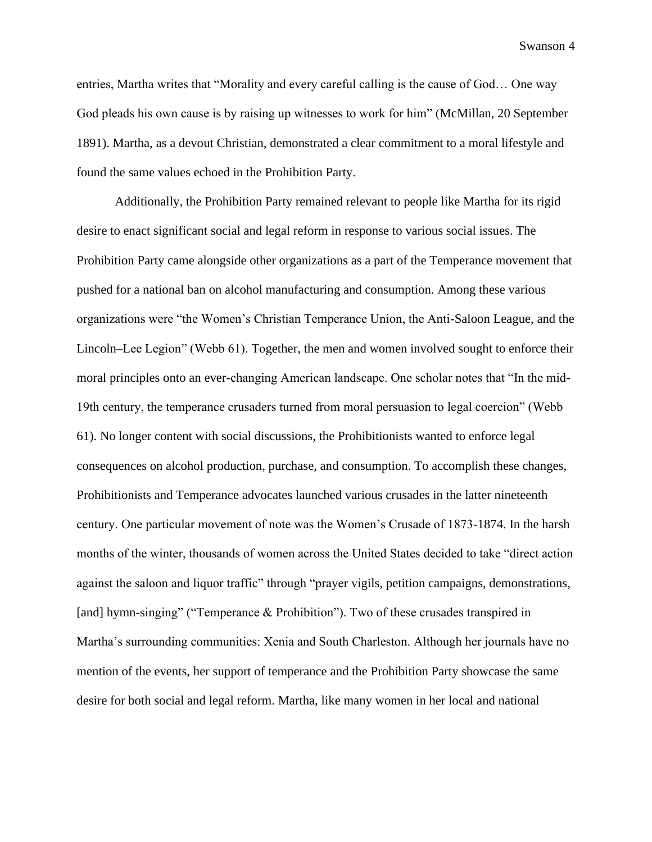entries, Martha writes that "Morality and every careful calling is the cause of God… One way God pleads his own cause is by raising up witnesses to work for him" (McMillan, 20 September 1891). Martha, as a devout Christian, demonstrated a clear commitment to a moral lifestyle and found the same values echoed in the Prohibition Party.

Additionally, the Prohibition Party remained relevant to people like Martha for its rigid desire to enact significant social and legal reform in response to various social issues. The Prohibition Party came alongside other organizations as a part of the Temperance movement that pushed for a national ban on alcohol manufacturing and consumption. Among these various organizations were "the Women's Christian Temperance Union, the Anti-Saloon League, and the Lincoln–Lee Legion" (Webb 61). Together, the men and women involved sought to enforce their moral principles onto an ever-changing American landscape. One scholar notes that "In the mid-19th century, the temperance crusaders turned from moral persuasion to legal coercion" (Webb 61). No longer content with social discussions, the Prohibitionists wanted to enforce legal consequences on alcohol production, purchase, and consumption. To accomplish these changes, Prohibitionists and Temperance advocates launched various crusades in the latter nineteenth century. One particular movement of note was the Women's Crusade of 1873-1874. In the harsh months of the winter, thousands of women across the United States decided to take "direct action against the saloon and liquor traffic" through "prayer vigils, petition campaigns, demonstrations, [and] hymn-singing" ("Temperance & Prohibition"). Two of these crusades transpired in Martha's surrounding communities: Xenia and South Charleston. Although her journals have no mention of the events, her support of temperance and the Prohibition Party showcase the same desire for both social and legal reform. Martha, like many women in her local and national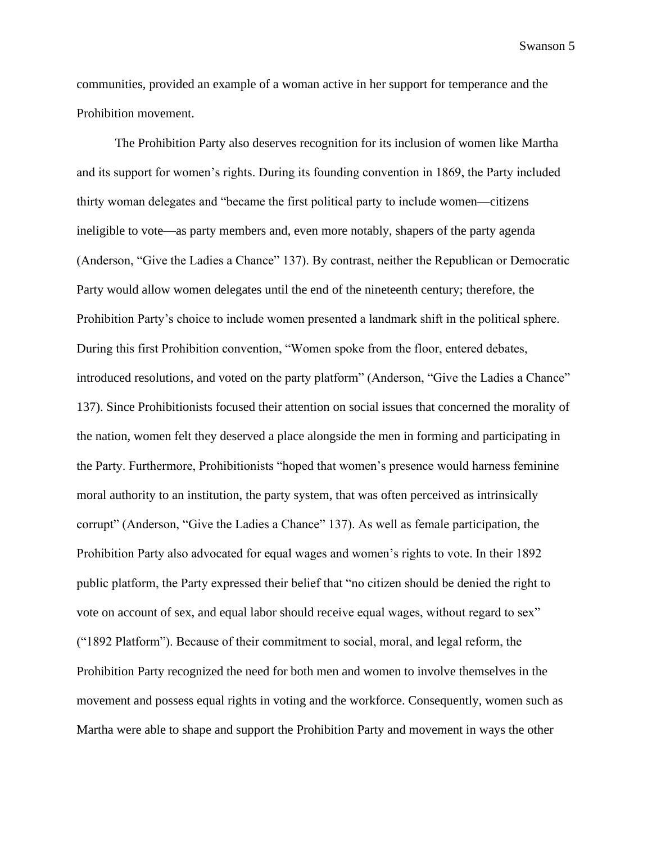communities, provided an example of a woman active in her support for temperance and the Prohibition movement.

The Prohibition Party also deserves recognition for its inclusion of women like Martha and its support for women's rights. During its founding convention in 1869, the Party included thirty woman delegates and "became the first political party to include women—citizens ineligible to vote—as party members and, even more notably, shapers of the party agenda (Anderson, "Give the Ladies a Chance" 137). By contrast, neither the Republican or Democratic Party would allow women delegates until the end of the nineteenth century; therefore, the Prohibition Party's choice to include women presented a landmark shift in the political sphere. During this first Prohibition convention, "Women spoke from the floor, entered debates, introduced resolutions, and voted on the party platform" (Anderson, "Give the Ladies a Chance" 137). Since Prohibitionists focused their attention on social issues that concerned the morality of the nation, women felt they deserved a place alongside the men in forming and participating in the Party. Furthermore, Prohibitionists "hoped that women's presence would harness feminine moral authority to an institution, the party system, that was often perceived as intrinsically corrupt" (Anderson, "Give the Ladies a Chance" 137). As well as female participation, the Prohibition Party also advocated for equal wages and women's rights to vote. In their 1892 public platform, the Party expressed their belief that "no citizen should be denied the right to vote on account of sex, and equal labor should receive equal wages, without regard to sex" ("1892 Platform"). Because of their commitment to social, moral, and legal reform, the Prohibition Party recognized the need for both men and women to involve themselves in the movement and possess equal rights in voting and the workforce. Consequently, women such as Martha were able to shape and support the Prohibition Party and movement in ways the other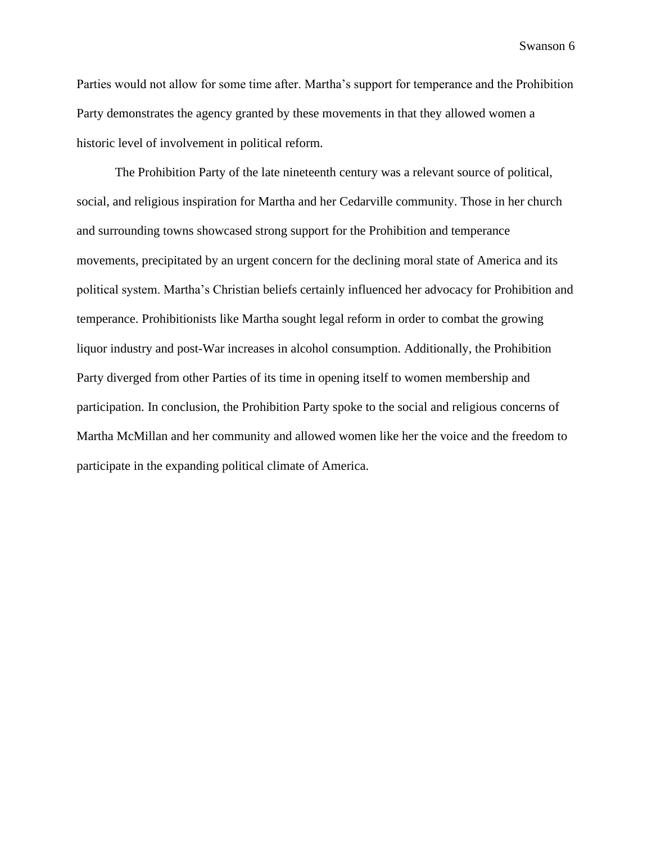Parties would not allow for some time after. Martha's support for temperance and the Prohibition Party demonstrates the agency granted by these movements in that they allowed women a historic level of involvement in political reform.

The Prohibition Party of the late nineteenth century was a relevant source of political, social, and religious inspiration for Martha and her Cedarville community. Those in her church and surrounding towns showcased strong support for the Prohibition and temperance movements, precipitated by an urgent concern for the declining moral state of America and its political system. Martha's Christian beliefs certainly influenced her advocacy for Prohibition and temperance. Prohibitionists like Martha sought legal reform in order to combat the growing liquor industry and post-War increases in alcohol consumption. Additionally, the Prohibition Party diverged from other Parties of its time in opening itself to women membership and participation. In conclusion, the Prohibition Party spoke to the social and religious concerns of Martha McMillan and her community and allowed women like her the voice and the freedom to participate in the expanding political climate of America.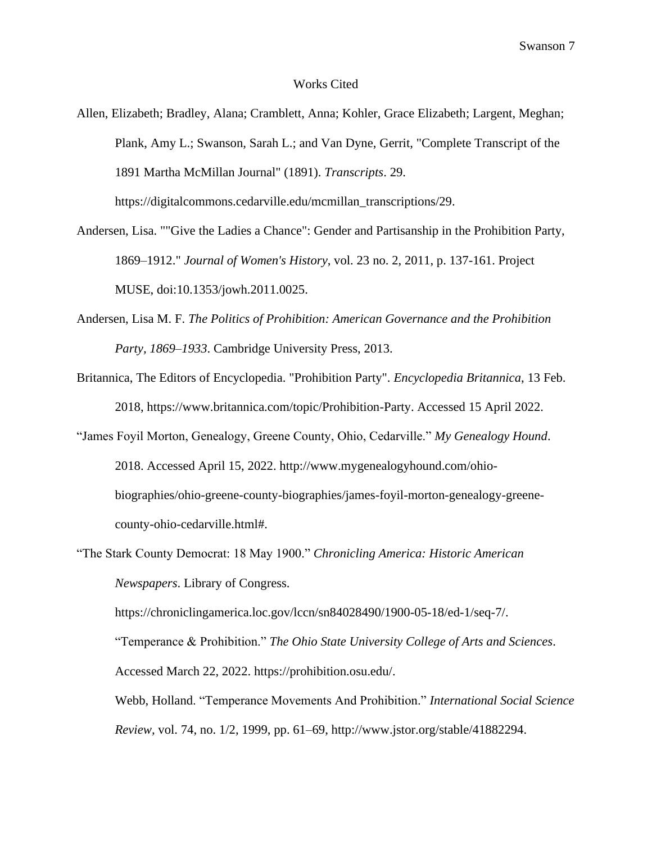#### Works Cited

- Andersen, Lisa. ""Give the Ladies a Chance": Gender and Partisanship in the Prohibition Party, 1869–1912." *Journal of Women's History*, vol. 23 no. 2, 2011, p. 137-161. Project MUSE, doi:10.1353/jowh.2011.0025.
- Andersen, Lisa M. F. *The Politics of Prohibition: American Governance and the Prohibition Party, 1869–1933*. Cambridge University Press, 2013.
- Britannica, The Editors of Encyclopedia. "Prohibition Party". *Encyclopedia Britannica*, 13 Feb. 2018, https://www.britannica.com/topic/Prohibition-Party. Accessed 15 April 2022.
- "James Foyil Morton, Genealogy, Greene County, Ohio, Cedarville." *My Genealogy Hound*. 2018. Accessed April 15, 2022. http://www.mygenealogyhound.com/ohiobiographies/ohio-greene-county-biographies/james-foyil-morton-genealogy-greenecounty-ohio-cedarville.html#.
- "The Stark County Democrat: 18 May 1900." *Chronicling America: Historic American Newspapers*. Library of Congress.

https://chroniclingamerica.loc.gov/lccn/sn84028490/1900-05-18/ed-1/seq-7/.

"Temperance & Prohibition." *The Ohio State University College of Arts and Sciences*.

Accessed March 22, 2022. https://prohibition.osu.edu/.

Webb, Holland. "Temperance Movements And Prohibition." *International Social Science Review,* vol. 74, no. 1/2, 1999, pp. 61–69, http://www.jstor.org/stable/41882294.

Allen, Elizabeth; Bradley, Alana; Cramblett, Anna; Kohler, Grace Elizabeth; Largent, Meghan; Plank, Amy L.; Swanson, Sarah L.; and Van Dyne, Gerrit, "Complete Transcript of the 1891 Martha McMillan Journal" (1891). *Transcripts*. 29. https://digitalcommons.cedarville.edu/mcmillan\_transcriptions/29.